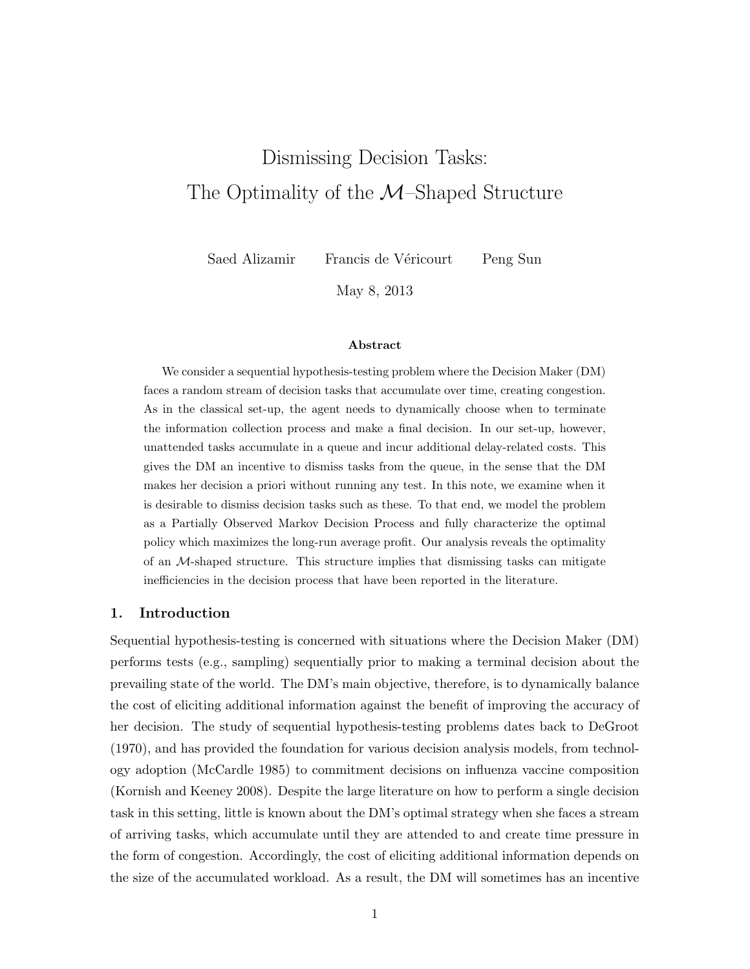# Dismissing Decision Tasks: The Optimality of the  $\mathcal{M}$ –Shaped Structure

Saed Alizamir Francis de Véricourt Peng Sun

May 8, 2013

#### Abstract

We consider a sequential hypothesis-testing problem where the Decision Maker (DM) faces a random stream of decision tasks that accumulate over time, creating congestion. As in the classical set-up, the agent needs to dynamically choose when to terminate the information collection process and make a final decision. In our set-up, however, unattended tasks accumulate in a queue and incur additional delay-related costs. This gives the DM an incentive to dismiss tasks from the queue, in the sense that the DM makes her decision a priori without running any test. In this note, we examine when it is desirable to dismiss decision tasks such as these. To that end, we model the problem as a Partially Observed Markov Decision Process and fully characterize the optimal policy which maximizes the long-run average profit. Our analysis reveals the optimality of an  $M$ -shaped structure. This structure implies that dismissing tasks can mitigate inefficiencies in the decision process that have been reported in the literature.

# 1. Introduction

Sequential hypothesis-testing is concerned with situations where the Decision Maker (DM) performs tests (e.g., sampling) sequentially prior to making a terminal decision about the prevailing state of the world. The DM's main objective, therefore, is to dynamically balance the cost of eliciting additional information against the benefit of improving the accuracy of her decision. The study of sequential hypothesis-testing problems dates back to DeGroot (1970), and has provided the foundation for various decision analysis models, from technology adoption (McCardle 1985) to commitment decisions on influenza vaccine composition (Kornish and Keeney 2008). Despite the large literature on how to perform a single decision task in this setting, little is known about the DM's optimal strategy when she faces a stream of arriving tasks, which accumulate until they are attended to and create time pressure in the form of congestion. Accordingly, the cost of eliciting additional information depends on the size of the accumulated workload. As a result, the DM will sometimes has an incentive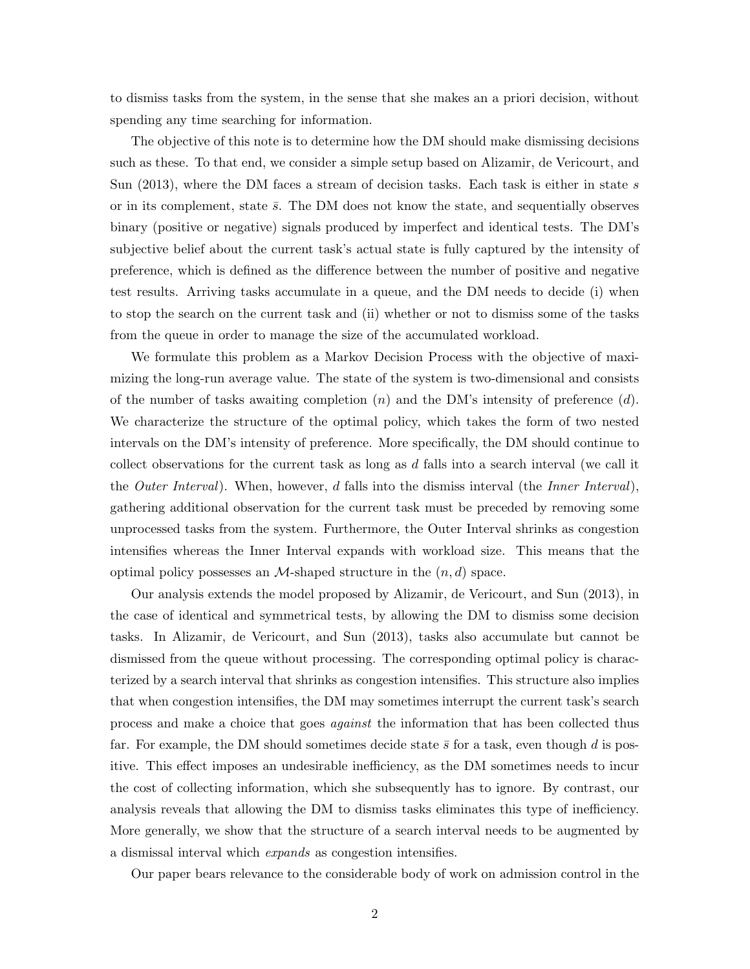to dismiss tasks from the system, in the sense that she makes an a priori decision, without spending any time searching for information.

The objective of this note is to determine how the DM should make dismissing decisions such as these. To that end, we consider a simple setup based on Alizamir, de Vericourt, and Sun (2013), where the DM faces a stream of decision tasks. Each task is either in state s or in its complement, state  $\bar{s}$ . The DM does not know the state, and sequentially observes binary (positive or negative) signals produced by imperfect and identical tests. The DM's subjective belief about the current task's actual state is fully captured by the intensity of preference, which is defined as the difference between the number of positive and negative test results. Arriving tasks accumulate in a queue, and the DM needs to decide (i) when to stop the search on the current task and (ii) whether or not to dismiss some of the tasks from the queue in order to manage the size of the accumulated workload.

We formulate this problem as a Markov Decision Process with the objective of maximizing the long-run average value. The state of the system is two-dimensional and consists of the number of tasks awaiting completion  $(n)$  and the DM's intensity of preference  $(d)$ . We characterize the structure of the optimal policy, which takes the form of two nested intervals on the DM's intensity of preference. More specifically, the DM should continue to collect observations for the current task as long as  $d$  falls into a search interval (we call it the *Outer Interval*). When, however, d falls into the dismiss interval (the *Inner Interval*), gathering additional observation for the current task must be preceded by removing some unprocessed tasks from the system. Furthermore, the Outer Interval shrinks as congestion intensifies whereas the Inner Interval expands with workload size. This means that the optimal policy possesses an  $M$ -shaped structure in the  $(n, d)$  space.

Our analysis extends the model proposed by Alizamir, de Vericourt, and Sun (2013), in the case of identical and symmetrical tests, by allowing the DM to dismiss some decision tasks. In Alizamir, de Vericourt, and Sun (2013), tasks also accumulate but cannot be dismissed from the queue without processing. The corresponding optimal policy is characterized by a search interval that shrinks as congestion intensifies. This structure also implies that when congestion intensifies, the DM may sometimes interrupt the current task's search process and make a choice that goes against the information that has been collected thus far. For example, the DM should sometimes decide state  $\bar{s}$  for a task, even though d is positive. This effect imposes an undesirable inefficiency, as the DM sometimes needs to incur the cost of collecting information, which she subsequently has to ignore. By contrast, our analysis reveals that allowing the DM to dismiss tasks eliminates this type of inefficiency. More generally, we show that the structure of a search interval needs to be augmented by a dismissal interval which expands as congestion intensifies.

Our paper bears relevance to the considerable body of work on admission control in the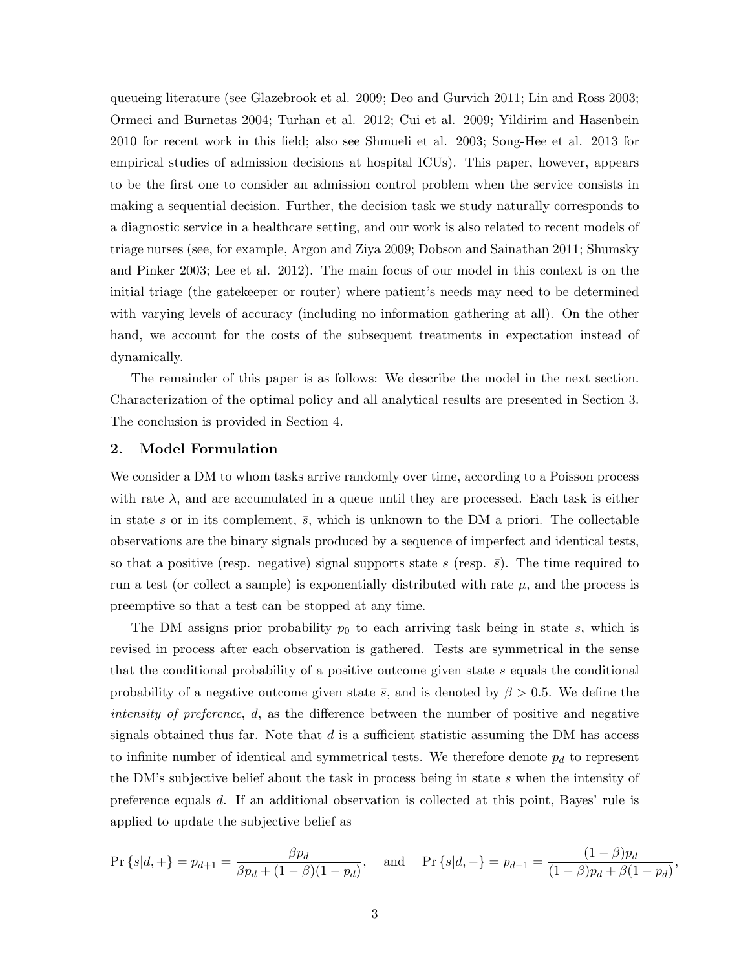queueing literature (see Glazebrook et al. 2009; Deo and Gurvich 2011; Lin and Ross 2003; Ormeci and Burnetas 2004; Turhan et al. 2012; Cui et al. 2009; Yildirim and Hasenbein 2010 for recent work in this field; also see Shmueli et al. 2003; Song-Hee et al. 2013 for empirical studies of admission decisions at hospital ICUs). This paper, however, appears to be the first one to consider an admission control problem when the service consists in making a sequential decision. Further, the decision task we study naturally corresponds to a diagnostic service in a healthcare setting, and our work is also related to recent models of triage nurses (see, for example, Argon and Ziya 2009; Dobson and Sainathan 2011; Shumsky and Pinker 2003; Lee et al. 2012). The main focus of our model in this context is on the initial triage (the gatekeeper or router) where patient's needs may need to be determined with varying levels of accuracy (including no information gathering at all). On the other hand, we account for the costs of the subsequent treatments in expectation instead of dynamically.

The remainder of this paper is as follows: We describe the model in the next section. Characterization of the optimal policy and all analytical results are presented in Section 3. The conclusion is provided in Section 4.

#### 2. Model Formulation

We consider a DM to whom tasks arrive randomly over time, according to a Poisson process with rate  $\lambda$ , and are accumulated in a queue until they are processed. Each task is either in state s or in its complement,  $\bar{s}$ , which is unknown to the DM a priori. The collectable observations are the binary signals produced by a sequence of imperfect and identical tests, so that a positive (resp. negative) signal supports state s (resp.  $\bar{s}$ ). The time required to run a test (or collect a sample) is exponentially distributed with rate  $\mu$ , and the process is preemptive so that a test can be stopped at any time.

The DM assigns prior probability  $p_0$  to each arriving task being in state s, which is revised in process after each observation is gathered. Tests are symmetrical in the sense that the conditional probability of a positive outcome given state s equals the conditional probability of a negative outcome given state  $\bar{s}$ , and is denoted by  $\beta > 0.5$ . We define the intensity of preference, d, as the difference between the number of positive and negative signals obtained thus far. Note that  $d$  is a sufficient statistic assuming the DM has access to infinite number of identical and symmetrical tests. We therefore denote  $p_d$  to represent the DM's subjective belief about the task in process being in state s when the intensity of preference equals d. If an additional observation is collected at this point, Bayes' rule is applied to update the subjective belief as

$$
\Pr\left\{s|d,+\right\} = p_{d+1} = \frac{\beta p_d}{\beta p_d + (1-\beta)(1-p_d)}, \quad \text{and} \quad \Pr\left\{s|d,-\right\} = p_{d-1} = \frac{(1-\beta)p_d}{(1-\beta)p_d + \beta(1-p_d)}
$$

,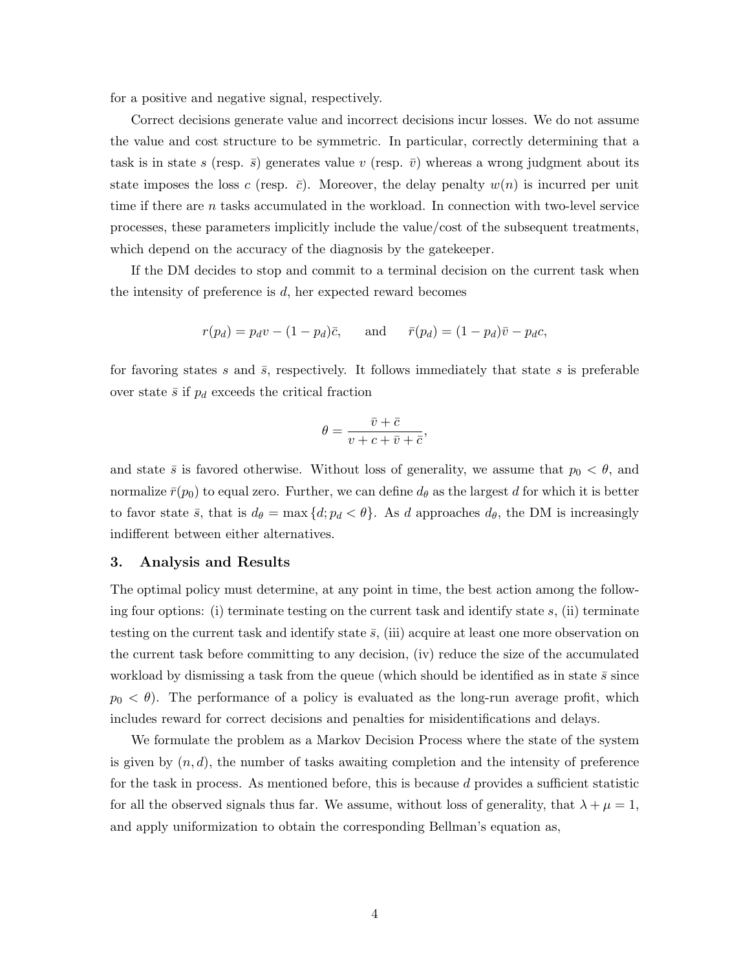for a positive and negative signal, respectively.

Correct decisions generate value and incorrect decisions incur losses. We do not assume the value and cost structure to be symmetric. In particular, correctly determining that a task is in state s (resp.  $\bar{s}$ ) generates value v (resp.  $\bar{v}$ ) whereas a wrong judgment about its state imposes the loss c (resp.  $\bar{c}$ ). Moreover, the delay penalty  $w(n)$  is incurred per unit time if there are n tasks accumulated in the workload. In connection with two-level service processes, these parameters implicitly include the value/cost of the subsequent treatments, which depend on the accuracy of the diagnosis by the gatekeeper.

If the DM decides to stop and commit to a terminal decision on the current task when the intensity of preference is  $d$ , her expected reward becomes

$$
r(p_d) = p_d v - (1 - p_d)\bar{c}, \quad \text{and} \quad \bar{r}(p_d) = (1 - p_d)\bar{v} - p_d c,
$$

for favoring states s and  $\bar{s}$ , respectively. It follows immediately that state s is preferable over state  $\bar{s}$  if  $p_d$  exceeds the critical fraction

$$
\theta = \frac{\bar{v} + \bar{c}}{v + c + \bar{v} + \bar{c}},
$$

and state  $\bar{s}$  is favored otherwise. Without loss of generality, we assume that  $p_0 < \theta$ , and normalize  $\bar{r}(p_0)$  to equal zero. Further, we can define  $d_\theta$  as the largest d for which it is better to favor state  $\bar{s}$ , that is  $d_{\theta} = \max\{d; p_d < \theta\}$ . As d approaches  $d_{\theta}$ , the DM is increasingly indifferent between either alternatives.

# 3. Analysis and Results

The optimal policy must determine, at any point in time, the best action among the following four options: (i) terminate testing on the current task and identify state  $s$ , (ii) terminate testing on the current task and identify state  $\bar{s}$ , (iii) acquire at least one more observation on the current task before committing to any decision, (iv) reduce the size of the accumulated workload by dismissing a task from the queue (which should be identified as in state  $\bar{s}$  since  $p_0 < \theta$ ). The performance of a policy is evaluated as the long-run average profit, which includes reward for correct decisions and penalties for misidentifications and delays.

We formulate the problem as a Markov Decision Process where the state of the system is given by  $(n, d)$ , the number of tasks awaiting completion and the intensity of preference for the task in process. As mentioned before, this is because d provides a sufficient statistic for all the observed signals thus far. We assume, without loss of generality, that  $\lambda + \mu = 1$ , and apply uniformization to obtain the corresponding Bellman's equation as,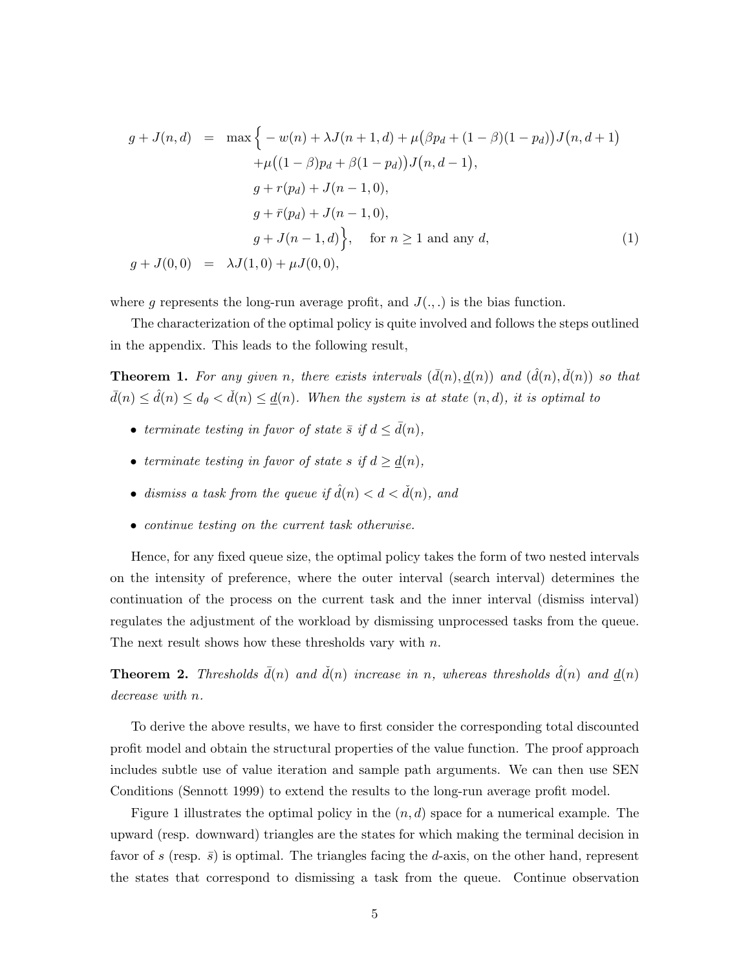$$
g + J(n, d) = \max \Big\{ -w(n) + \lambda J(n+1, d) + \mu (\beta p_d + (1 - \beta)(1 - p_d)) J(n, d+1) + \mu ((1 - \beta)p_d + \beta(1 - p_d)) J(n, d-1),
$$
  

$$
g + r(p_d) + J(n-1, 0),
$$
  

$$
g + \bar{r}(p_d) + J(n-1, 0),
$$
  

$$
g + J(n-1, d) \Big\}, \text{ for } n \ge 1 \text{ and any } d,
$$
  

$$
g + J(0, 0) = \lambda J(1, 0) + \mu J(0, 0),
$$
 (1)

where g represents the long-run average profit, and  $J(.,.)$  is the bias function.

The characterization of the optimal policy is quite involved and follows the steps outlined in the appendix. This leads to the following result,

**Theorem 1.** For any given n, there exists intervals  $(\bar{d}(n), \underline{d}(n))$  and  $(\hat{d}(n), \check{d}(n))$  so that  $\bar{d}(n) \leq \hat{d}(n) \leq d_{\theta} < \check{d}(n) \leq \underline{d}(n)$ . When the system is at state  $(n, d)$ , it is optimal to

- terminate testing in favor of state  $\bar{s}$  if  $d \leq d(n)$ .
- terminate testing in favor of state s if  $d \geq d(n)$
- dismiss a task from the queue if  $\hat{d}(n) < d < \check{d}(n)$ , and
- continue testing on the current task otherwise.

Hence, for any fixed queue size, the optimal policy takes the form of two nested intervals on the intensity of preference, where the outer interval (search interval) determines the continuation of the process on the current task and the inner interval (dismiss interval) regulates the adjustment of the workload by dismissing unprocessed tasks from the queue. The next result shows how these thresholds vary with  $n$ .

**Theorem 2.** Thresholds  $\bar{d}(n)$  and  $\check{d}(n)$  increase in n, whereas thresholds  $\hat{d}(n)$  and  $d(n)$ decrease with n.

To derive the above results, we have to first consider the corresponding total discounted profit model and obtain the structural properties of the value function. The proof approach includes subtle use of value iteration and sample path arguments. We can then use SEN Conditions (Sennott 1999) to extend the results to the long-run average profit model.

Figure 1 illustrates the optimal policy in the  $(n, d)$  space for a numerical example. The upward (resp. downward) triangles are the states for which making the terminal decision in favor of s (resp.  $\bar{s}$ ) is optimal. The triangles facing the d-axis, on the other hand, represent the states that correspond to dismissing a task from the queue. Continue observation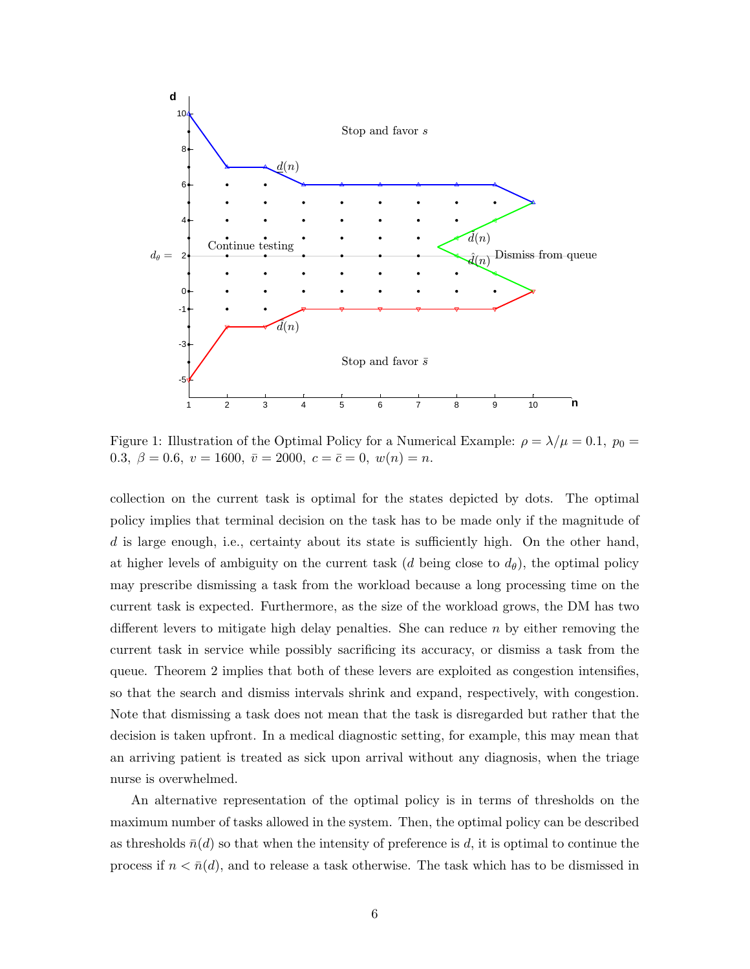

Figure 1: Illustration of the Optimal Policy for a Numerical Example:  $\rho = \lambda/\mu = 0.1$ ,  $p_0 =$ 0.3,  $\beta = 0.6, v = 1600, \bar{v} = 2000, c = \bar{c} = 0, w(n) = n$ .

collection on the current task is optimal for the states depicted by dots. The optimal policy implies that terminal decision on the task has to be made only if the magnitude of d is large enough, i.e., certainty about its state is sufficiently high. On the other hand, at higher levels of ambiguity on the current task  $(d \text{ being close to } d_{\theta})$ , the optimal policy may prescribe dismissing a task from the workload because a long processing time on the current task is expected. Furthermore, as the size of the workload grows, the DM has two different levers to mitigate high delay penalties. She can reduce  $n$  by either removing the current task in service while possibly sacrificing its accuracy, or dismiss a task from the queue. Theorem 2 implies that both of these levers are exploited as congestion intensifies, so that the search and dismiss intervals shrink and expand, respectively, with congestion. Note that dismissing a task does not mean that the task is disregarded but rather that the decision is taken upfront. In a medical diagnostic setting, for example, this may mean that an arriving patient is treated as sick upon arrival without any diagnosis, when the triage nurse is overwhelmed.

An alternative representation of the optimal policy is in terms of thresholds on the maximum number of tasks allowed in the system. Then, the optimal policy can be described as thresholds  $\bar{n}(d)$  so that when the intensity of preference is d, it is optimal to continue the process if  $n < \bar{n}(d)$ , and to release a task otherwise. The task which has to be dismissed in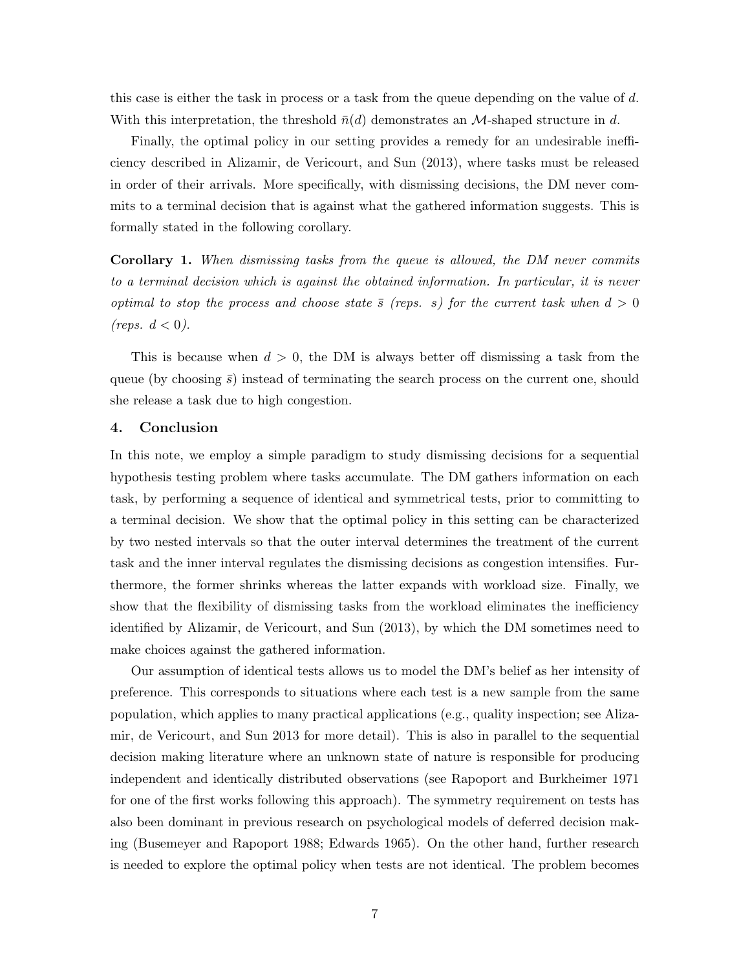this case is either the task in process or a task from the queue depending on the value of d. With this interpretation, the threshold  $\bar{n}(d)$  demonstrates an M-shaped structure in d.

Finally, the optimal policy in our setting provides a remedy for an undesirable inefficiency described in Alizamir, de Vericourt, and Sun (2013), where tasks must be released in order of their arrivals. More specifically, with dismissing decisions, the DM never commits to a terminal decision that is against what the gathered information suggests. This is formally stated in the following corollary.

Corollary 1. When dismissing tasks from the queue is allowed, the DM never commits to a terminal decision which is against the obtained information. In particular, it is never optimal to stop the process and choose state  $\bar{s}$  (reps. s) for the current task when  $d > 0$ (reps.  $d < 0$ ).

This is because when  $d > 0$ , the DM is always better off dismissing a task from the queue (by choosing  $\bar{s}$ ) instead of terminating the search process on the current one, should she release a task due to high congestion.

# 4. Conclusion

In this note, we employ a simple paradigm to study dismissing decisions for a sequential hypothesis testing problem where tasks accumulate. The DM gathers information on each task, by performing a sequence of identical and symmetrical tests, prior to committing to a terminal decision. We show that the optimal policy in this setting can be characterized by two nested intervals so that the outer interval determines the treatment of the current task and the inner interval regulates the dismissing decisions as congestion intensifies. Furthermore, the former shrinks whereas the latter expands with workload size. Finally, we show that the flexibility of dismissing tasks from the workload eliminates the inefficiency identified by Alizamir, de Vericourt, and Sun (2013), by which the DM sometimes need to make choices against the gathered information.

Our assumption of identical tests allows us to model the DM's belief as her intensity of preference. This corresponds to situations where each test is a new sample from the same population, which applies to many practical applications (e.g., quality inspection; see Alizamir, de Vericourt, and Sun 2013 for more detail). This is also in parallel to the sequential decision making literature where an unknown state of nature is responsible for producing independent and identically distributed observations (see Rapoport and Burkheimer 1971 for one of the first works following this approach). The symmetry requirement on tests has also been dominant in previous research on psychological models of deferred decision making (Busemeyer and Rapoport 1988; Edwards 1965). On the other hand, further research is needed to explore the optimal policy when tests are not identical. The problem becomes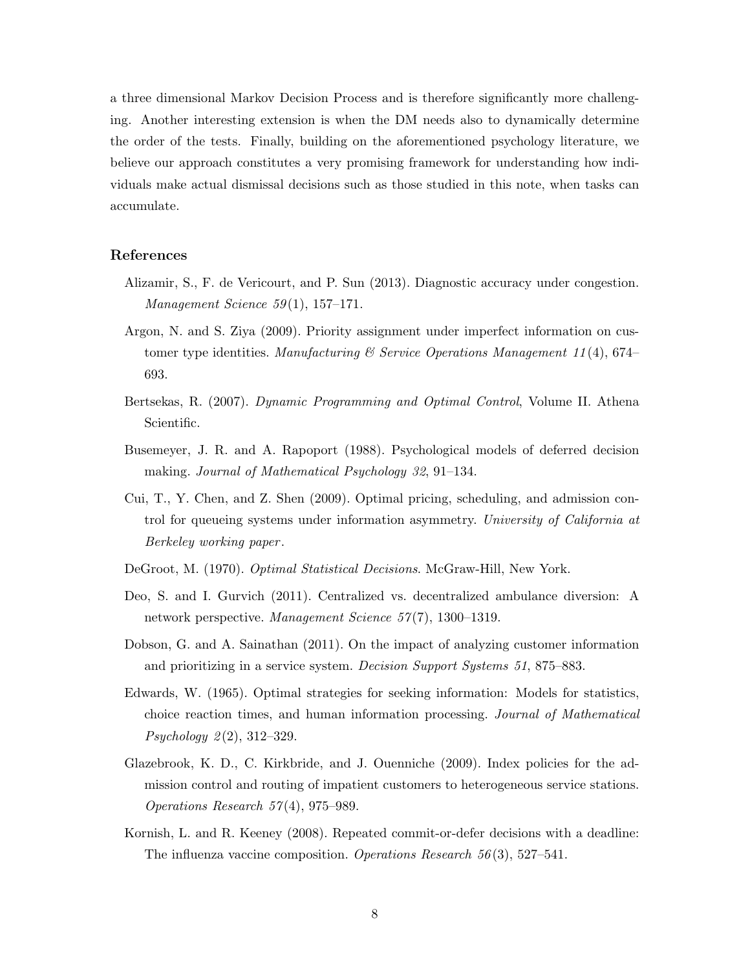a three dimensional Markov Decision Process and is therefore significantly more challenging. Another interesting extension is when the DM needs also to dynamically determine the order of the tests. Finally, building on the aforementioned psychology literature, we believe our approach constitutes a very promising framework for understanding how individuals make actual dismissal decisions such as those studied in this note, when tasks can accumulate.

# References

- Alizamir, S., F. de Vericourt, and P. Sun (2013). Diagnostic accuracy under congestion. Management Science  $59(1)$ , 157-171.
- Argon, N. and S. Ziya (2009). Priority assignment under imperfect information on customer type identities. Manufacturing & Service Operations Manugement 11(4), 674– 693.
- Bertsekas, R. (2007). Dynamic Programming and Optimal Control, Volume II. Athena Scientific.
- Busemeyer, J. R. and A. Rapoport (1988). Psychological models of deferred decision making. Journal of Mathematical Psychology 32, 91–134.
- Cui, T., Y. Chen, and Z. Shen (2009). Optimal pricing, scheduling, and admission control for queueing systems under information asymmetry. University of California at Berkeley working paper .
- DeGroot, M. (1970). *Optimal Statistical Decisions*. McGraw-Hill, New York.
- Deo, S. and I. Gurvich (2011). Centralized vs. decentralized ambulance diversion: A network perspective. Management Science 57(7), 1300-1319.
- Dobson, G. and A. Sainathan (2011). On the impact of analyzing customer information and prioritizing in a service system. Decision Support Systems 51, 875–883.
- Edwards, W. (1965). Optimal strategies for seeking information: Models for statistics, choice reaction times, and human information processing. Journal of Mathematical *Psychology*  $2(2)$ , 312–329.
- Glazebrook, K. D., C. Kirkbride, and J. Ouenniche (2009). Index policies for the admission control and routing of impatient customers to heterogeneous service stations. Operations Research  $57(4)$ , 975–989.
- Kornish, L. and R. Keeney (2008). Repeated commit-or-defer decisions with a deadline: The influenza vaccine composition. Operations Research 56 (3), 527–541.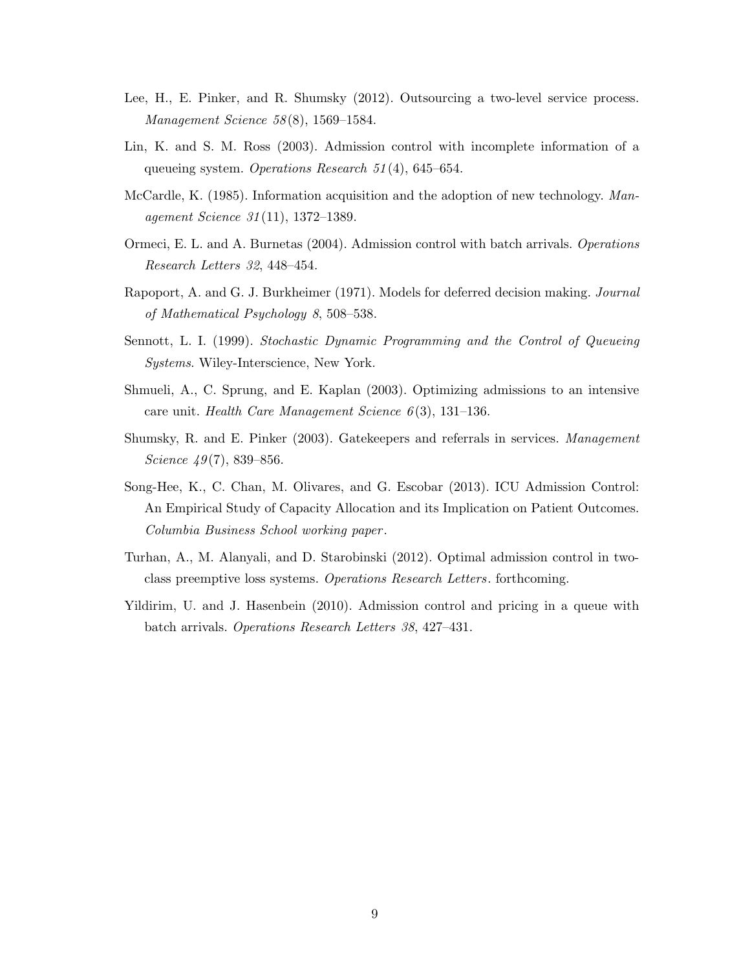- Lee, H., E. Pinker, and R. Shumsky (2012). Outsourcing a two-level service process. Management Science 58 (8), 1569–1584.
- Lin, K. and S. M. Ross (2003). Admission control with incomplete information of a queueing system. Operations Research 51 (4), 645–654.
- McCardle, K. (1985). Information acquisition and the adoption of new technology. Management Science 31 (11), 1372–1389.
- Ormeci, E. L. and A. Burnetas (2004). Admission control with batch arrivals. Operations Research Letters 32, 448–454.
- Rapoport, A. and G. J. Burkheimer (1971). Models for deferred decision making. Journal of Mathematical Psychology 8, 508–538.
- Sennott, L. I. (1999). Stochastic Dynamic Programming and the Control of Queueing Systems. Wiley-Interscience, New York.
- Shmueli, A., C. Sprung, and E. Kaplan (2003). Optimizing admissions to an intensive care unit. Health Care Management Science  $6(3)$ , 131–136.
- Shumsky, R. and E. Pinker (2003). Gatekeepers and referrals in services. Management Science  $49(7)$ , 839–856.
- Song-Hee, K., C. Chan, M. Olivares, and G. Escobar (2013). ICU Admission Control: An Empirical Study of Capacity Allocation and its Implication on Patient Outcomes. Columbia Business School working paper .
- Turhan, A., M. Alanyali, and D. Starobinski (2012). Optimal admission control in twoclass preemptive loss systems. Operations Research Letters. forthcoming.
- Yildirim, U. and J. Hasenbein (2010). Admission control and pricing in a queue with batch arrivals. Operations Research Letters 38, 427–431.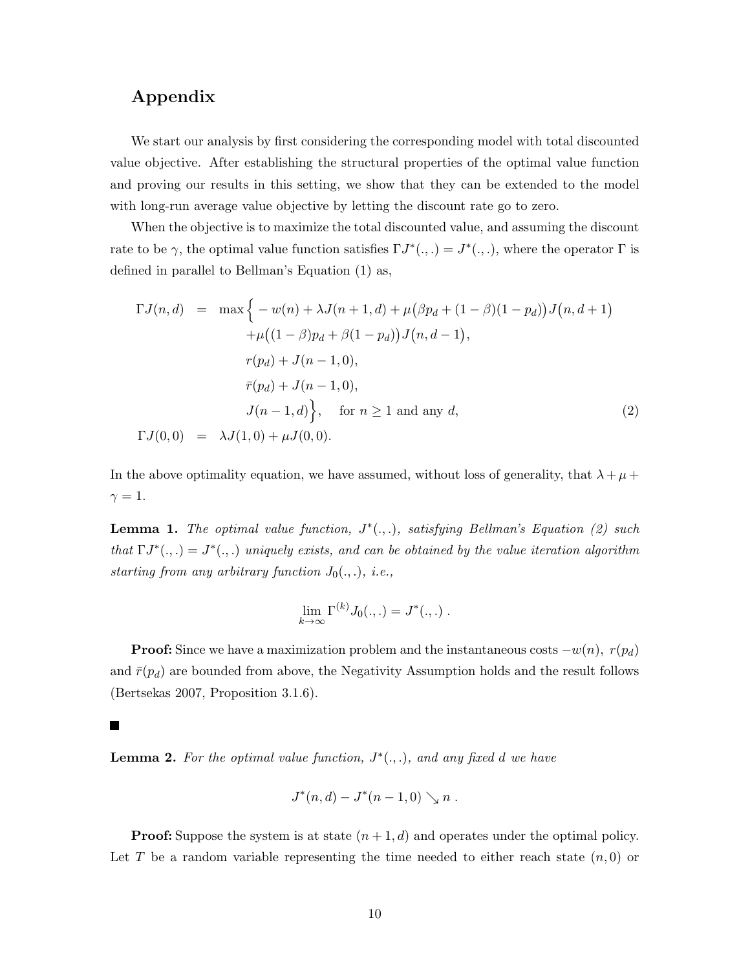# Appendix

We start our analysis by first considering the corresponding model with total discounted value objective. After establishing the structural properties of the optimal value function and proving our results in this setting, we show that they can be extended to the model with long-run average value objective by letting the discount rate go to zero.

When the objective is to maximize the total discounted value, and assuming the discount rate to be  $\gamma$ , the optimal value function satisfies  $\Gamma J^*(.,.) = J^*(.,.)$ , where the operator  $\Gamma$  is defined in parallel to Bellman's Equation (1) as,

$$
\Gamma J(n,d) = \max \Big\{ -w(n) + \lambda J(n+1,d) + \mu (\beta p_d + (1-\beta)(1-p_d))J(n,d+1) + \mu ((1-\beta)p_d + \beta(1-p_d))J(n,d-1),
$$
  

$$
r(p_d) + J(n-1,0),
$$
  

$$
\bar{r}(p_d) + J(n-1,0),
$$
  

$$
J(n-1,d) \Big\}, \text{ for } n \ge 1 \text{ and any } d,
$$
 (2)  

$$
\Gamma J(0,0) = \lambda J(1,0) + \mu J(0,0).
$$

In the above optimality equation, we have assumed, without loss of generality, that  $\lambda + \mu +$  $\gamma=1.$ 

**Lemma 1.** The optimal value function,  $J^*(.,.)$ , satisfying Bellman's Equation (2) such that  $\Gamma J^*(.,.) = J^*(.,.)$  uniquely exists, and can be obtained by the value iteration algorithm starting from any arbitrary function  $J_0(.,.),$  i.e.,

$$
\lim_{k\to\infty}\Gamma^{(k)}J_0(.,.)=J^*(.,.)
$$

**Proof:** Since we have a maximization problem and the instantaneous costs  $-w(n)$ ,  $r(p_d)$ and  $\bar{r}(p_d)$  are bounded from above, the Negativity Assumption holds and the result follows (Bertsekas 2007, Proposition 3.1.6).

 $\blacksquare$ 

**Lemma 2.** For the optimal value function,  $J^*(.,.)$ , and any fixed d we have

$$
J^*(n, d) - J^*(n - 1, 0) \searrow n .
$$

**Proof:** Suppose the system is at state  $(n+1,d)$  and operates under the optimal policy. Let T be a random variable representing the time needed to either reach state  $(n,0)$  or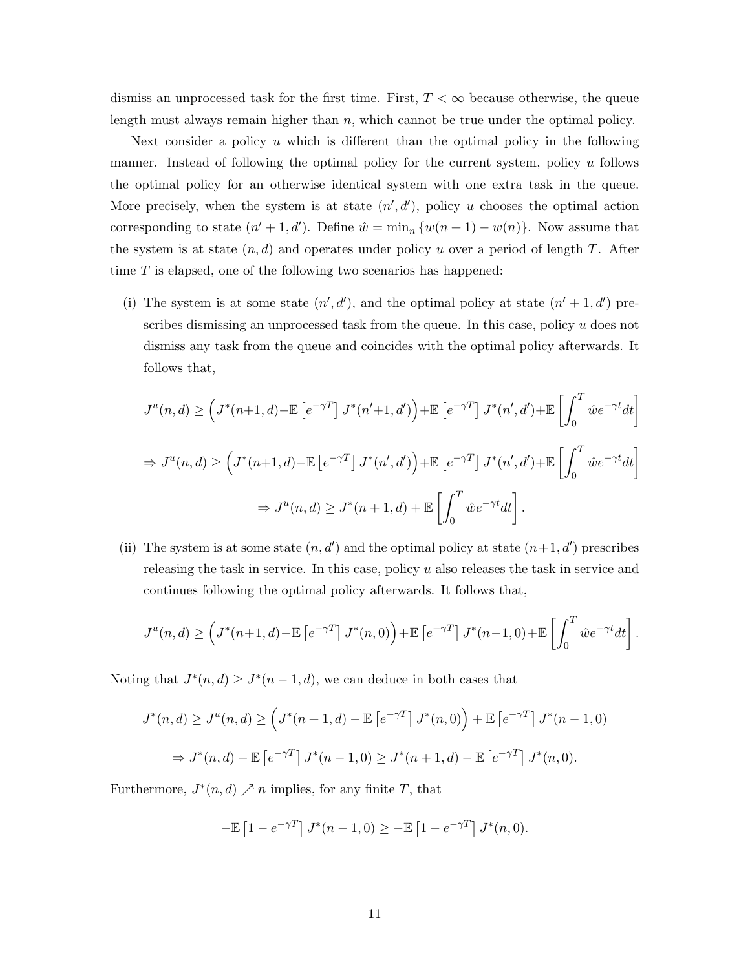dismiss an unprocessed task for the first time. First,  $T < \infty$  because otherwise, the queue length must always remain higher than  $n$ , which cannot be true under the optimal policy.

Next consider a policy  $u$  which is different than the optimal policy in the following manner. Instead of following the optimal policy for the current system, policy u follows the optimal policy for an otherwise identical system with one extra task in the queue. More precisely, when the system is at state  $(n', d')$ , policy u chooses the optimal action corresponding to state  $(n' + 1, d')$ . Define  $\hat{w} = \min_n \{w(n + 1) - w(n)\}\$ . Now assume that the system is at state  $(n, d)$  and operates under policy u over a period of length T. After time  $T$  is elapsed, one of the following two scenarios has happened:

(i) The system is at some state  $(n', d')$ , and the optimal policy at state  $(n' + 1, d')$  prescribes dismissing an unprocessed task from the queue. In this case, policy u does not dismiss any task from the queue and coincides with the optimal policy afterwards. It follows that,

$$
J^{u}(n,d) \geq \left(J^{*}(n+1,d) - \mathbb{E}\left[e^{-\gamma T}\right]J^{*}(n'+1,d')\right) + \mathbb{E}\left[e^{-\gamma T}\right]J^{*}(n',d') + \mathbb{E}\left[\int_{0}^{T} \hat{w}e^{-\gamma t}dt\right]
$$
  
\n
$$
\Rightarrow J^{u}(n,d) \geq \left(J^{*}(n+1,d) - \mathbb{E}\left[e^{-\gamma T}\right]J^{*}(n',d')\right) + \mathbb{E}\left[e^{-\gamma T}\right]J^{*}(n',d') + \mathbb{E}\left[\int_{0}^{T} \hat{w}e^{-\gamma t}dt\right]
$$
  
\n
$$
\Rightarrow J^{u}(n,d) \geq J^{*}(n+1,d) + \mathbb{E}\left[\int_{0}^{T} \hat{w}e^{-\gamma t}dt\right].
$$

(ii) The system is at some state  $(n, d')$  and the optimal policy at state  $(n+1, d')$  prescribes releasing the task in service. In this case, policy  $u$  also releases the task in service and continues following the optimal policy afterwards. It follows that,

$$
J^u(n,d) \ge \left(J^*(n+1,d) - \mathbb{E}\left[e^{-\gamma T}\right]J^*(n,0)\right) + \mathbb{E}\left[e^{-\gamma T}\right]J^*(n-1,0) + \mathbb{E}\left[\int_0^T \hat{w}e^{-\gamma t}dt\right].
$$

Noting that  $J^*(n, d) \geq J^*(n-1, d)$ , we can deduce in both cases that

$$
J^*(n,d) \ge J^u(n,d) \ge \left(J^*(n+1,d) - \mathbb{E}\left[e^{-\gamma T}\right]J^*(n,0)\right) + \mathbb{E}\left[e^{-\gamma T}\right]J^*(n-1,0)
$$
  

$$
\Rightarrow J^*(n,d) - \mathbb{E}\left[e^{-\gamma T}\right]J^*(n-1,0) \ge J^*(n+1,d) - \mathbb{E}\left[e^{-\gamma T}\right]J^*(n,0).
$$

Furthermore,  $J^*(n, d) \nearrow n$  implies, for any finite T, that

$$
-\mathbb{E}\left[1 - e^{-\gamma T}\right]J^*(n-1,0) \ge -\mathbb{E}\left[1 - e^{-\gamma T}\right]J^*(n,0).
$$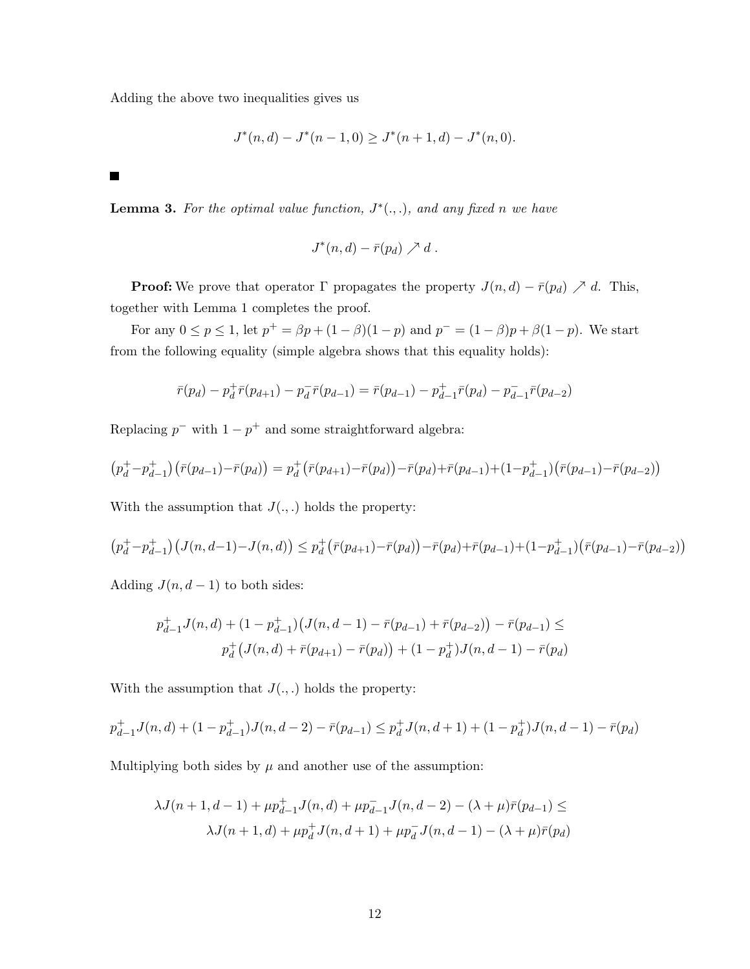Adding the above two inequalities gives us

$$
J^*(n,d) - J^*(n-1,0) \ge J^*(n+1,d) - J^*(n,0).
$$

 $\blacksquare$ 

**Lemma 3.** For the optimal value function,  $J^*(.,.)$ , and any fixed n we have

$$
J^*(n,d)-\bar{r}(p_d)\nearrow d.
$$

**Proof:** We prove that operator  $\Gamma$  propagates the property  $J(n, d) - \bar{r}(p_d) \nearrow d$ . This, together with Lemma 1 completes the proof.

For any  $0 \le p \le 1$ , let  $p^+ = \beta p + (1 - \beta)(1 - p)$  and  $p^- = (1 - \beta)p + \beta(1 - p)$ . We start from the following equality (simple algebra shows that this equality holds):

$$
\bar{r}(p_d) - p_d^+ \bar{r}(p_{d+1}) - p_d^- \bar{r}(p_{d-1}) = \bar{r}(p_{d-1}) - p_{d-1}^+ \bar{r}(p_d) - p_{d-1}^- \bar{r}(p_{d-2})
$$

Replacing  $p^-$  with  $1-p^+$  and some straightforward algebra:

$$
(p_d^+ - p_{d-1}^+) (\bar{r}(p_{d-1}) - \bar{r}(p_d)) = p_d^+ (\bar{r}(p_{d+1}) - \bar{r}(p_d)) - \bar{r}(p_d) + \bar{r}(p_{d-1}) + (1 - p_{d-1}^+) (\bar{r}(p_{d-1}) - \bar{r}(p_{d-2}))
$$

With the assumption that  $J(.,.)$  holds the property:

$$
(p_d^+ - p_{d-1}^+) (J(n, d-1) - J(n, d)) \leq p_d^+ (\bar{r}(p_{d+1}) - \bar{r}(p_d)) - \bar{r}(p_d) + \bar{r}(p_{d-1}) + (1 - p_{d-1}^+) (\bar{r}(p_{d-1}) - \bar{r}(p_{d-2}))
$$

Adding  $J(n, d-1)$  to both sides:

$$
p_{d-1}^+ J(n,d) + (1 - p_{d-1}^+) \big( J(n,d-1) - \bar{r}(p_{d-1}) + \bar{r}(p_{d-2}) \big) - \bar{r}(p_{d-1}) \le
$$
  

$$
p_d^+ \big( J(n,d) + \bar{r}(p_{d+1}) - \bar{r}(p_d) \big) + (1 - p_d^+) J(n,d-1) - \bar{r}(p_d)
$$

With the assumption that  $J(.,.)$  holds the property:

$$
p_{d-1}^+ J(n,d) + (1 - p_{d-1}^+) J(n,d-2) - \bar{r}(p_{d-1}) \leq p_d^+ J(n,d+1) + (1 - p_d^+) J(n,d-1) - \bar{r}(p_d)
$$

Multiplying both sides by  $\mu$  and another use of the assumption:

$$
\lambda J(n+1, d-1) + \mu p_{d-1}^{+} J(n, d) + \mu p_{d-1}^{-} J(n, d-2) - (\lambda + \mu) \bar{r}(p_{d-1}) \le
$$
  

$$
\lambda J(n+1, d) + \mu p_{d}^{+} J(n, d+1) + \mu p_{d}^{-} J(n, d-1) - (\lambda + \mu) \bar{r}(p_{d})
$$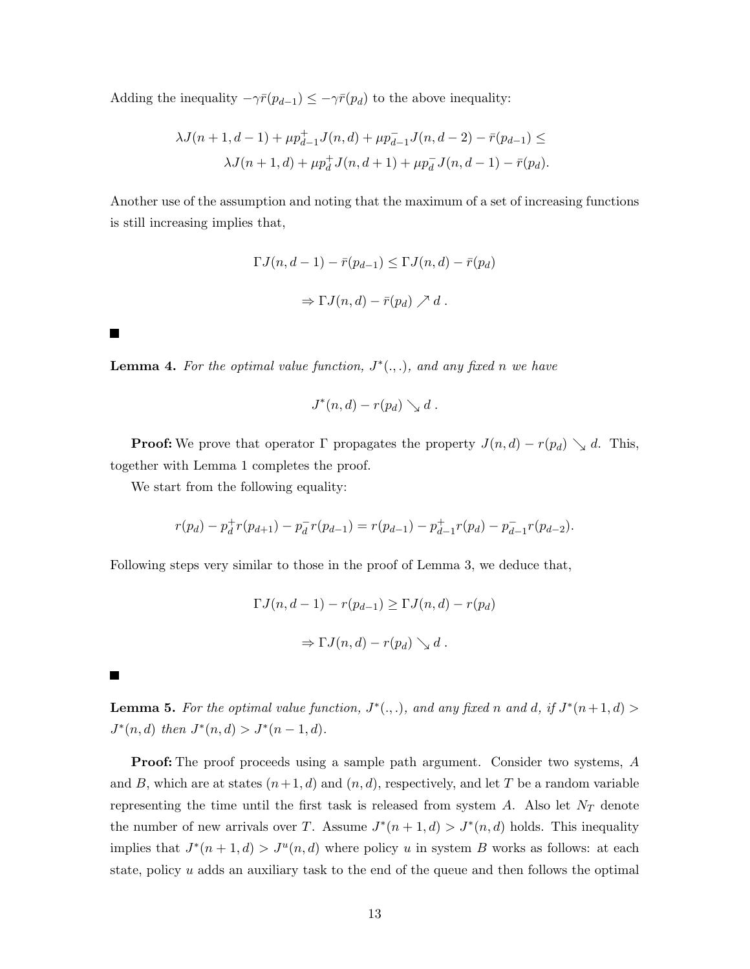Adding the inequality  $-\gamma \bar{r}(p_{d-1}) \leq -\gamma \bar{r}(p_d)$  to the above inequality:

$$
\lambda J(n+1, d-1) + \mu p_{d-1}^{+} J(n, d) + \mu p_{d-1}^{-} J(n, d-2) - \bar{r}(p_{d-1}) \le
$$
  

$$
\lambda J(n+1, d) + \mu p_{d}^{+} J(n, d+1) + \mu p_{d}^{-} J(n, d-1) - \bar{r}(p_{d}).
$$

Another use of the assumption and noting that the maximum of a set of increasing functions is still increasing implies that,

$$
\Gamma J(n, d-1) - \bar{r}(p_{d-1}) \leq \Gamma J(n, d) - \bar{r}(p_d)
$$

$$
\Rightarrow \Gamma J(n, d) - \bar{r}(p_d) \nearrow d.
$$

**Lemma 4.** For the optimal value function,  $J^*(.,.)$ , and any fixed n we have

$$
J^*(n,d) - r(p_d) \searrow d.
$$

**Proof:** We prove that operator  $\Gamma$  propagates the property  $J(n,d) - r(p_d) \searrow d$ . This, together with Lemma 1 completes the proof.

We start from the following equality:

$$
r(p_d) - p_d^+ r(p_{d+1}) - p_d^- r(p_{d-1}) = r(p_{d-1}) - p_{d-1}^+ r(p_d) - p_{d-1}^- r(p_{d-2}).
$$

Following steps very similar to those in the proof of Lemma 3, we deduce that,

$$
\Gamma J(n, d-1) - r(p_{d-1}) \ge \Gamma J(n, d) - r(p_d)
$$
  

$$
\Rightarrow \Gamma J(n, d) - r(p_d) \searrow d.
$$

 $\blacksquare$ 

 $\blacksquare$ 

**Lemma 5.** For the optimal value function,  $J^*(.,.)$ , and any fixed n and d, if  $J^*(n+1,d)$  $J^*(n, d)$  then  $J^*(n, d) > J^*(n - 1, d)$ .

Proof: The proof proceeds using a sample path argument. Consider two systems, A and B, which are at states  $(n+1, d)$  and  $(n, d)$ , respectively, and let T be a random variable representing the time until the first task is released from system  $A$ . Also let  $N_T$  denote the number of new arrivals over T. Assume  $J^*(n+1,d) > J^*(n,d)$  holds. This inequality implies that  $J^*(n+1,d) > J^u(n,d)$  where policy u in system B works as follows: at each state, policy  $u$  adds an auxiliary task to the end of the queue and then follows the optimal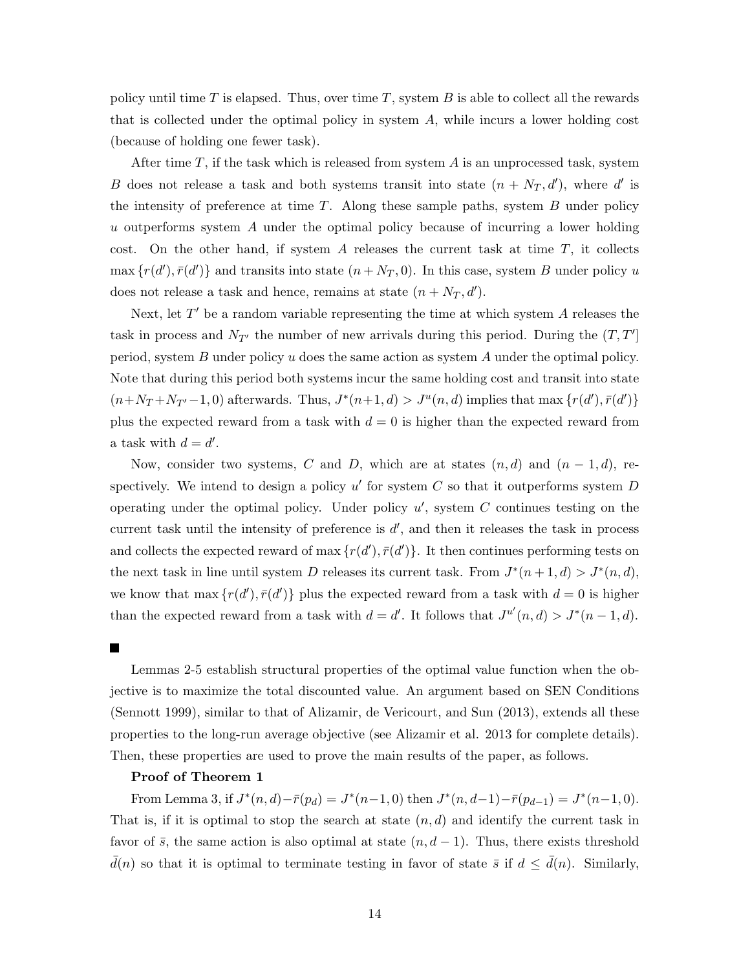policy until time T is elapsed. Thus, over time  $T$ , system  $B$  is able to collect all the rewards that is collected under the optimal policy in system A, while incurs a lower holding cost (because of holding one fewer task).

After time  $T$ , if the task which is released from system  $A$  is an unprocessed task, system B does not release a task and both systems transit into state  $(n + N_T, d')$ , where d' is the intensity of preference at time  $T$ . Along these sample paths, system  $B$  under policy u outperforms system A under the optimal policy because of incurring a lower holding cost. On the other hand, if system A releases the current task at time  $T$ , it collects  $\max\{r(d'), \bar{r}(d')\}$  and transits into state  $(n + N_T, 0)$ . In this case, system B under policy u does not release a task and hence, remains at state  $(n + N_T, d')$ .

Next, let  $T'$  be a random variable representing the time at which system  $A$  releases the task in process and  $N_{T'}$  the number of new arrivals during this period. During the  $(T, T')$ period, system B under policy  $u$  does the same action as system A under the optimal policy. Note that during this period both systems incur the same holding cost and transit into state  $(n+N_T+N_{T'}-1,0)$  afterwards. Thus,  $J^*(n+1,d) > J^u(n,d)$  implies that max  $\{r(d'), \bar{r}(d')\}$ plus the expected reward from a task with  $d = 0$  is higher than the expected reward from a task with  $d = d'$ .

Now, consider two systems, C and D, which are at states  $(n, d)$  and  $(n - 1, d)$ , respectively. We intend to design a policy  $u'$  for system C so that it outperforms system D operating under the optimal policy. Under policy  $u'$ , system  $C$  continues testing on the current task until the intensity of preference is  $d'$ , and then it releases the task in process and collects the expected reward of max  $\{r(d'), \bar{r}(d')\}$ . It then continues performing tests on the next task in line until system D releases its current task. From  $J^*(n+1, d) > J^*(n, d)$ , we know that max  $\{r(d'), \bar{r}(d')\}$  plus the expected reward from a task with  $d = 0$  is higher than the expected reward from a task with  $d = d'$ . It follows that  $J^{u'}(n, d) > J^*(n - 1, d)$ .

**The State** 

Lemmas 2-5 establish structural properties of the optimal value function when the objective is to maximize the total discounted value. An argument based on SEN Conditions (Sennott 1999), similar to that of Alizamir, de Vericourt, and Sun (2013), extends all these properties to the long-run average objective (see Alizamir et al. 2013 for complete details). Then, these properties are used to prove the main results of the paper, as follows.

# Proof of Theorem 1

From Lemma 3, if  $J^*(n, d) - \bar{r}(p_d) = J^*(n-1, 0)$  then  $J^*(n, d-1) - \bar{r}(p_{d-1}) = J^*(n-1, 0)$ . That is, if it is optimal to stop the search at state  $(n, d)$  and identify the current task in favor of  $\bar{s}$ , the same action is also optimal at state  $(n, d - 1)$ . Thus, there exists threshold  $d(n)$  so that it is optimal to terminate testing in favor of state  $\bar{s}$  if  $d \leq d(n)$ . Similarly,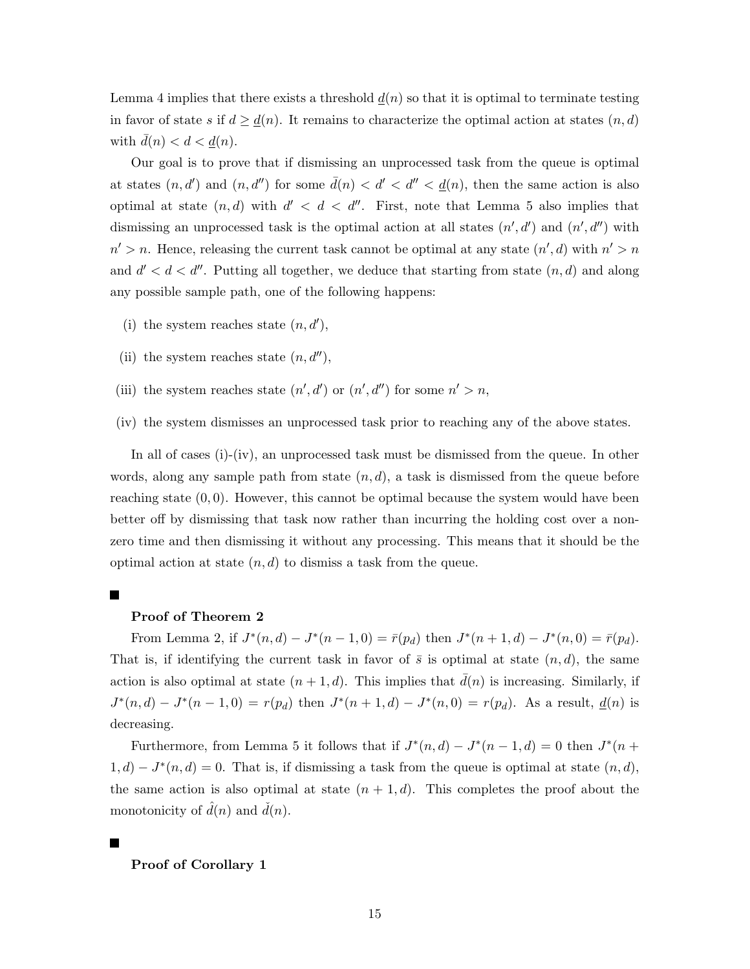Lemma 4 implies that there exists a threshold  $\underline{d}(n)$  so that it is optimal to terminate testing in favor of state s if  $d \geq \underline{d}(n)$ . It remains to characterize the optimal action at states  $(n, d)$ with  $d(n) < d < \underline{d}(n)$ .

Our goal is to prove that if dismissing an unprocessed task from the queue is optimal at states  $(n, d')$  and  $(n, d'')$  for some  $\bar{d}(n) < d' < d'' < d(n)$ , then the same action is also optimal at state  $(n, d)$  with  $d' < d < d''$ . First, note that Lemma 5 also implies that dismissing an unprocessed task is the optimal action at all states  $(n', d')$  and  $(n', d'')$  with  $n' > n$ . Hence, releasing the current task cannot be optimal at any state  $(n', d)$  with  $n' > n$ and  $d' < d < d''$ . Putting all together, we deduce that starting from state  $(n, d)$  and along any possible sample path, one of the following happens:

- (i) the system reaches state  $(n, d')$ ,
- (ii) the system reaches state  $(n, d'')$ ,
- (iii) the system reaches state  $(n', d')$  or  $(n', d'')$  for some  $n' > n$ ,
- (iv) the system dismisses an unprocessed task prior to reaching any of the above states.

In all of cases (i)-(iv), an unprocessed task must be dismissed from the queue. In other words, along any sample path from state  $(n, d)$ , a task is dismissed from the queue before reaching state  $(0, 0)$ . However, this cannot be optimal because the system would have been better off by dismissing that task now rather than incurring the holding cost over a nonzero time and then dismissing it without any processing. This means that it should be the optimal action at state  $(n, d)$  to dismiss a task from the queue.

# $\blacksquare$

#### Proof of Theorem 2

From Lemma 2, if  $J^*(n,d) - J^*(n-1,0) = \bar{r}(p_d)$  then  $J^*(n+1,d) - J^*(n,0) = \bar{r}(p_d)$ . That is, if identifying the current task in favor of  $\bar{s}$  is optimal at state  $(n, d)$ , the same action is also optimal at state  $(n+1, d)$ . This implies that  $d(n)$  is increasing. Similarly, if  $J^*(n, d) - J^*(n-1, 0) = r(p_d)$  then  $J^*(n+1, d) - J^*(n, 0) = r(p_d)$ . As a result,  $\underline{d}(n)$  is decreasing.

Furthermore, from Lemma 5 it follows that if  $J^*(n,d) - J^*(n-1,d) = 0$  then  $J^*(n +$  $1, d) - J^*(n, d) = 0$ . That is, if dismissing a task from the queue is optimal at state  $(n, d)$ , the same action is also optimal at state  $(n + 1, d)$ . This completes the proof about the monotonicity of  $\hat{d}(n)$  and  $\check{d}(n)$ .

Proof of Corollary 1